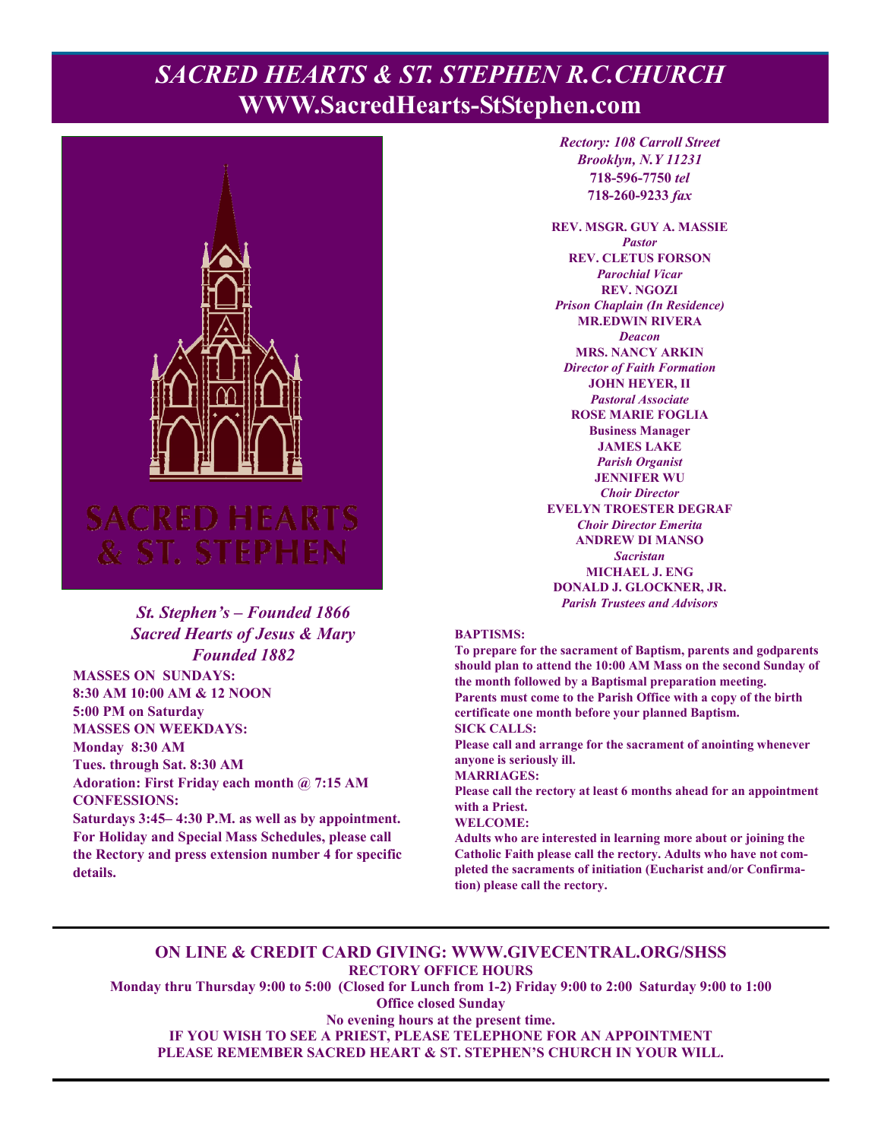# **PACRED HEARTS & ST. STEPHEN R.C.CHURCH WWW.SacredHearts-StStephen.com**



## *St. Stephen's – Founded 1866 Sacred Hearts of Jesus & Mary Founded 1882*

**MASSES ON SUNDAYS: 8:30 AM 10:00 AM & 12 NOON 5:00 PM on Saturday MASSES ON WEEKDAYS: Monday 8:30 AM Tues. through Sat. 8:30 AM Adoration: First Friday each month @ 7:15 AM CONFESSIONS:** 

**Saturdays 3:45– 4:30 P.M. as well as by appointment. For Holiday and Special Mass Schedules, please call the Rectory and press extension number 4 for specific details.**

*Rectory: 108 Carroll Street Brooklyn, N.Y 11231*  **718-596-7750** *tel* **718-260-9233** *fax*

**REV. MSGR. GUY A. MASSIE**  *Pastor*  **REV. CLETUS FORSON**  *Parochial Vicar*  **REV. NGOZI**  *Prison Chaplain (In Residence)*  **MR.EDWIN RIVERA**  *Deacon*  **MRS. NANCY ARKIN**  *Director of Faith Formation*  **JOHN HEYER, II**  *Pastoral Associate*  **ROSE MARIE FOGLIA Business Manager JAMES LAKE**  *Parish Organist*  **JENNIFER WU**  *Choir Director*  **EVELYN TROESTER DEGRAF**  *Choir Director Emerita*  **ANDREW DI MANSO**  *Sacristan*  **MICHAEL J. ENG DONALD J. GLOCKNER, JR.**  *Parish Trustees and Advisors* 

#### **BAPTISMS:**

**To prepare for the sacrament of Baptism, parents and godparents should plan to attend the 10:00 AM Mass on the second Sunday of the month followed by a Baptismal preparation meeting. Parents must come to the Parish Office with a copy of the birth certificate one month before your planned Baptism. SICK CALLS:** 

**Please call and arrange for the sacrament of anointing whenever anyone is seriously ill.** 

**MARRIAGES:** 

**Please call the rectory at least 6 months ahead for an appointment with a Priest.** 

#### **WELCOME:**

**Adults who are interested in learning more about or joining the Catholic Faith please call the rectory. Adults who have not completed the sacraments of initiation (Eucharist and/or Confirmation) please call the rectory.** 

#### **ON LINE & CREDIT CARD GIVING: WWW.GIVECENTRAL.ORG/SHSS RECTORY OFFICE HOURS**

**Monday thru Thursday 9:00 to 5:00 (Closed for Lunch from 1-2) Friday 9:00 to 2:00 Saturday 9:00 to 1:00 Office closed Sunday** 

**No evening hours at the present time. IF YOU WISH TO SEE A PRIEST, PLEASE TELEPHONE FOR AN APPOINTMENT PLEASE REMEMBER SACRED HEART & ST. STEPHEN'S CHURCH IN YOUR WILL.**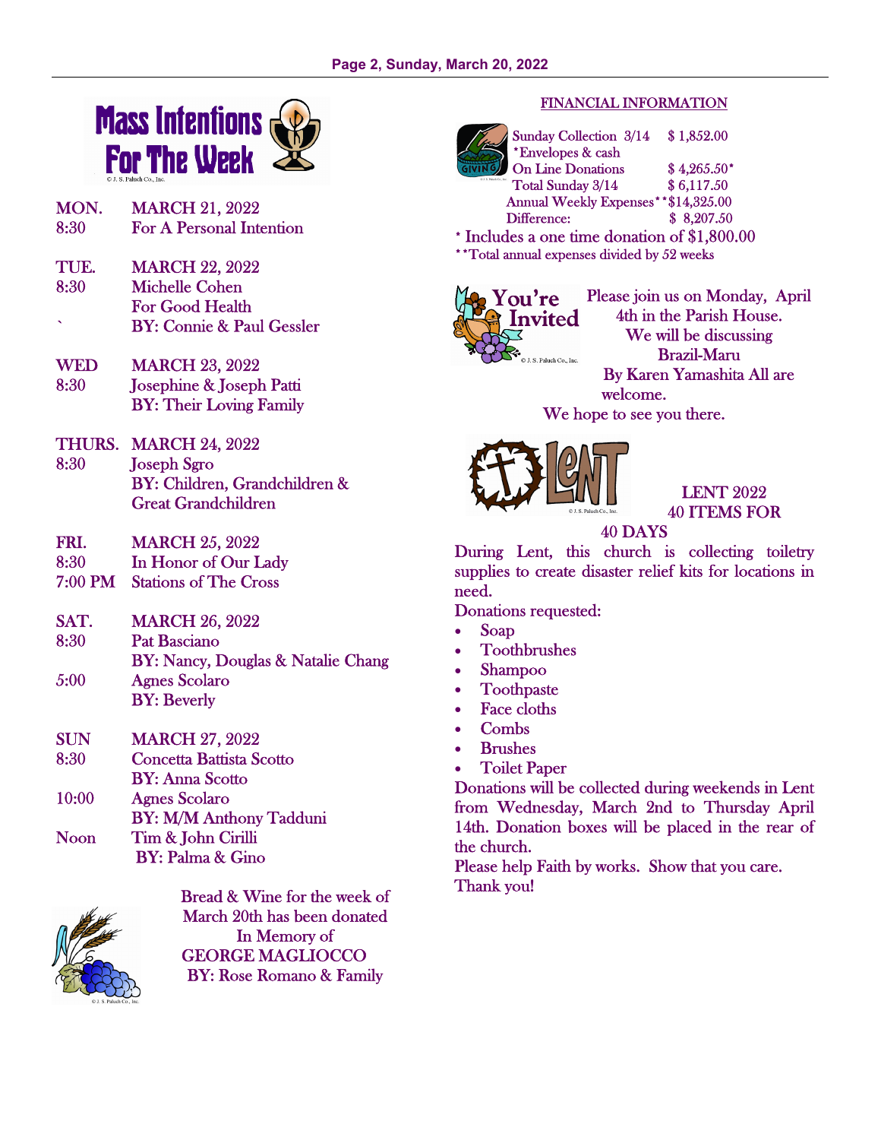

- MON. MARCH 21, 2022 8:30 For A Personal Intention
- TUE. MARCH 22, 2022 8:30 Michelle Cohen For Good Health ` BY: Connie & Paul Gessler
- WED MARCH 23, 2022 8:30 Josephine & Joseph Patti BY: Their Loving Family
- THURS. MARCH 24, 2022 8:30 Joseph Sgro BY: Children, Grandchildren & Great Grandchildren
- FRI. MARCH 25, 2022
- 8:30 In Honor of Our Lady
- 7:00 PM Stations of The Cross
- SAT. MARCH 26, 2022 8:30 Pat Basciano
- BY: Nancy, Douglas & Natalie Chang 5:00 Agnes Scolaro BY: Beverly
- SUN MARCH 27, 2022
- 8:30 Concetta Battista Scotto
- BY: Anna Scotto
- 10:00 Agnes Scolaro BY: M/M Anthony Tadduni
- Noon Tim & John Cirilli BY: Palma & Gino



Bread & Wine for the week of March 20th has been donated In Memory of GEORGE MAGLIOCCO BY: Rose Romano & Family

## FINANCIAL INFORMATION



Sunday Collection 3/14 \$ 1,852.00 \*Envelopes & cash On Line Donations \$4,265.50\* Total Sunday 3/14 \$ 6,117.50 Annual Weekly Expenses\*\*\$14,325.00 Difference: \$ 8,207.50

\* Includes a one time donation of \$1,800.00 \*\*Total annual expenses divided by 52 weeks



Please join us on Monday, April 4th in the Parish House. We will be discussing Brazil-Maru By Karen Yamashita All are welcome. We hope to see you there.



LENT 2022 40 ITEMS FOR

# 40 DAYS

During Lent, this church is collecting toiletry supplies to create disaster relief kits for locations in need.

Donations requested:

- Soap
- Toothbrushes
- Shampoo
- Toothpaste
- Face cloths
- Combs
- **Brushes**
- Toilet Paper

Donations will be collected during weekends in Lent from Wednesday, March 2nd to Thursday April 14th. Donation boxes will be placed in the rear of the church.

Please help Faith by works. Show that you care. Thank you!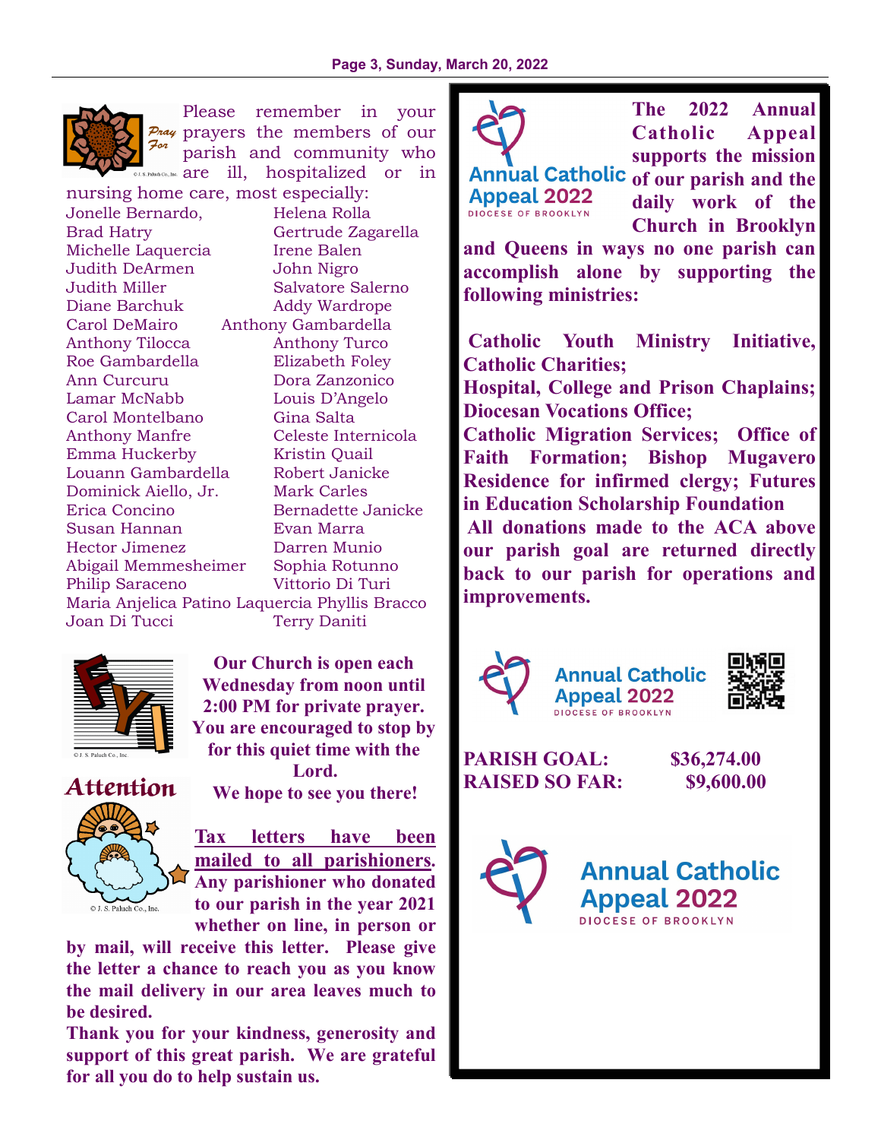

Please remember in your  $P_{\text{max}}$  prayers the members of our For parish and community who  $s$ . Paluch Co., Inc.  $\arctan\frac{1}{2}$  are ill, hospitalized or in

nursing home care, most especially: Jonelle Bernardo, Helena Rolla Brad Hatry Gertrude Zagarella Michelle Laquercia liene Balen Judith DeArmen John Nigro Judith Miller Salvatore Salerno Diane Barchuk Addy Wardrope Carol DeMairo Anthony Gambardella Anthony Tilocca Anthony Turco Roe Gambardella Elizabeth Foley Ann Curcuru Dora Zanzonico Lamar McNabb Louis D'Angelo Carol Montelbano Gina Salta Anthony Manfre Celeste Internicola Emma Huckerby Kristin Quail Louann Gambardella Robert Janicke Dominick Aiello, Jr. Mark Carles Erica Concino Bernadette Janicke Susan Hannan Evan Marra Hector Jimenez Darren Munio Abigail Memmesheimer Sophia Rotunno Philip Saraceno Vittorio Di Turi Maria Anjelica Patino Laquercia Phyllis Bracco Joan Di Tucci Terry Daniti



**Our Church is open each Wednesday from noon until 2:00 PM for private prayer. You are encouraged to stop by for this quiet time with the Lord.** 



**Tax letters have been mailed to all parishioners. Any parishioner who donated to our parish in the year 2021** 

**We hope to see you there!** 

**whether on line, in person or** 

**by mail, will receive this letter. Please give the letter a chance to reach you as you know the mail delivery in our area leaves much to be desired.** 

**Thank you for your kindness, generosity and support of this great parish. We are grateful for all you do to help sustain us.** 



**Appeal 2022 DIOCESE OF BROOKLYN** 

**The 2022 Annual Catholic Appeal supports the mission** 

Annual Catholic of our parish and the **daily work of the Church in Brooklyn** 

**and Queens in ways no one parish can accomplish alone by supporting the following ministries:** 

 **Catholic Youth Ministry Initiative, Catholic Charities;** 

**Hospital, College and Prison Chaplains; Diocesan Vocations Office;** 

**Catholic Migration Services; Office of Faith Formation; Bishop Mugavero Residence for infirmed clergy; Futures in Education Scholarship Foundation** 

 **All donations made to the ACA above our parish goal are returned directly back to our parish for operations and improvements.** 







**PARISH GOAL: \$36,274.00 RAISED SO FAR: \$9,600.00** 

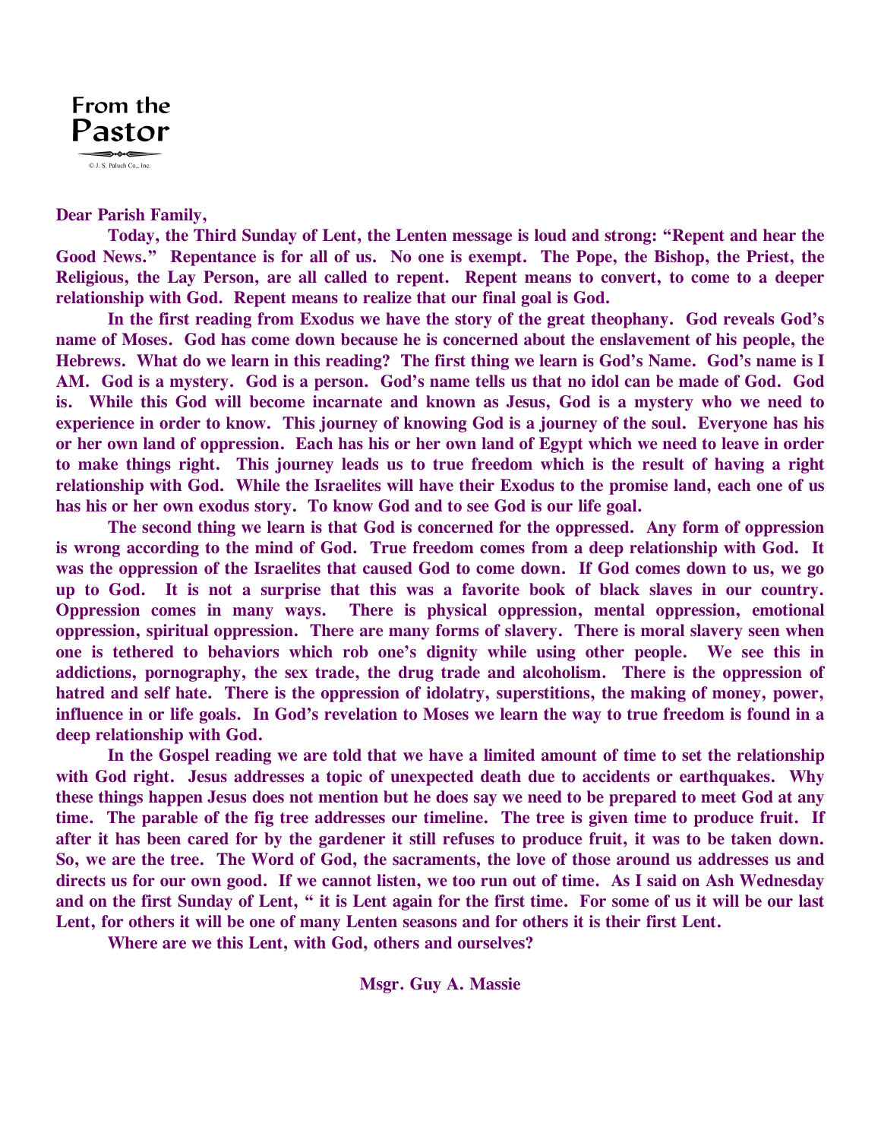

### **Dear Parish Family,**

 **Today, the Third Sunday of Lent, the Lenten message is loud and strong: "Repent and hear the Good News." Repentance is for all of us. No one is exempt. The Pope, the Bishop, the Priest, the Religious, the Lay Person, are all called to repent. Repent means to convert, to come to a deeper relationship with God. Repent means to realize that our final goal is God.** 

 **In the first reading from Exodus we have the story of the great theophany. God reveals God's name of Moses. God has come down because he is concerned about the enslavement of his people, the Hebrews. What do we learn in this reading? The first thing we learn is God's Name. God's name is I AM. God is a mystery. God is a person. God's name tells us that no idol can be made of God. God is. While this God will become incarnate and known as Jesus, God is a mystery who we need to experience in order to know. This journey of knowing God is a journey of the soul. Everyone has his or her own land of oppression. Each has his or her own land of Egypt which we need to leave in order to make things right. This journey leads us to true freedom which is the result of having a right relationship with God. While the Israelites will have their Exodus to the promise land, each one of us has his or her own exodus story. To know God and to see God is our life goal.** 

 **The second thing we learn is that God is concerned for the oppressed. Any form of oppression is wrong according to the mind of God. True freedom comes from a deep relationship with God. It was the oppression of the Israelites that caused God to come down. If God comes down to us, we go up to God. It is not a surprise that this was a favorite book of black slaves in our country. Oppression comes in many ways. There is physical oppression, mental oppression, emotional oppression, spiritual oppression. There are many forms of slavery. There is moral slavery seen when one is tethered to behaviors which rob one's dignity while using other people. We see this in addictions, pornography, the sex trade, the drug trade and alcoholism. There is the oppression of hatred and self hate. There is the oppression of idolatry, superstitions, the making of money, power, influence in or life goals. In God's revelation to Moses we learn the way to true freedom is found in a deep relationship with God.** 

 **In the Gospel reading we are told that we have a limited amount of time to set the relationship with God right. Jesus addresses a topic of unexpected death due to accidents or earthquakes. Why these things happen Jesus does not mention but he does say we need to be prepared to meet God at any time. The parable of the fig tree addresses our timeline. The tree is given time to produce fruit. If after it has been cared for by the gardener it still refuses to produce fruit, it was to be taken down. So, we are the tree. The Word of God, the sacraments, the love of those around us addresses us and directs us for our own good. If we cannot listen, we too run out of time. As I said on Ash Wednesday and on the first Sunday of Lent, " it is Lent again for the first time. For some of us it will be our last Lent, for others it will be one of many Lenten seasons and for others it is their first Lent.** 

 **Where are we this Lent, with God, others and ourselves?** 

**Msgr. Guy A. Massie**